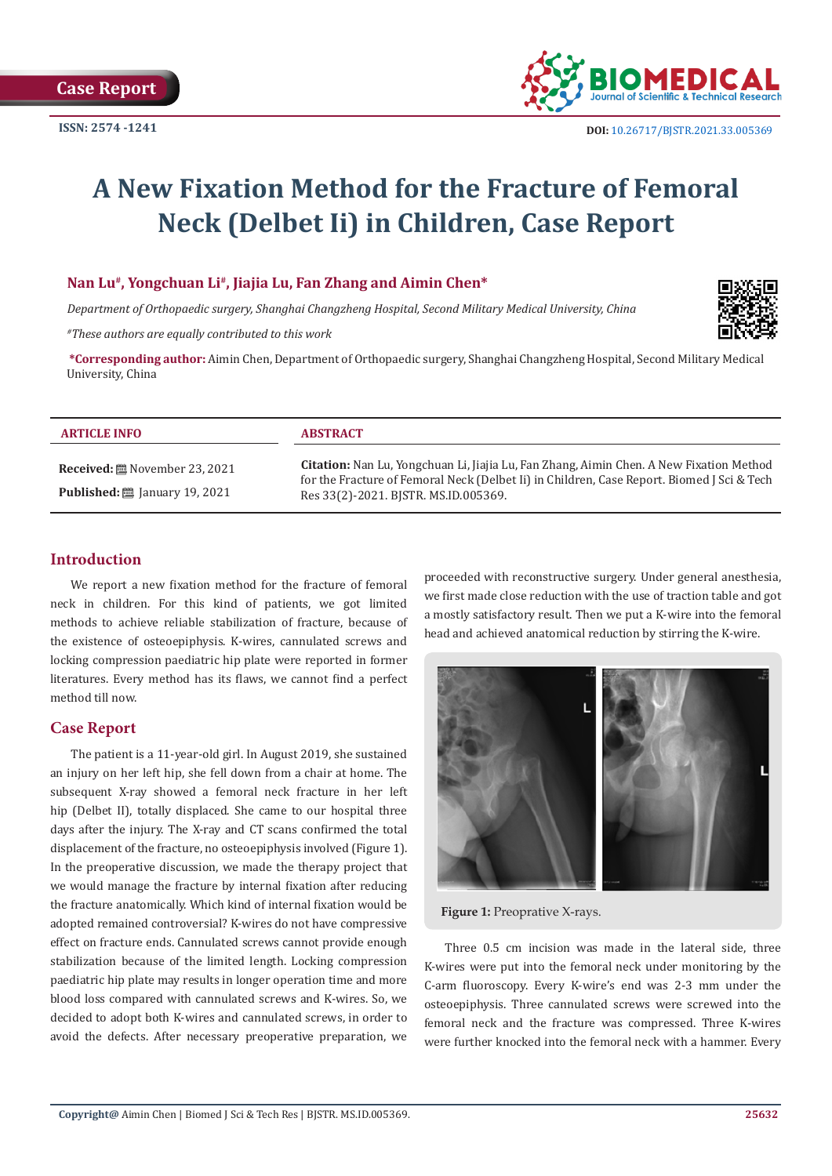

# **A New Fixation Method for the Fracture of Femoral Neck (Delbet Ii) in Children, Case Report**

#### **Nan Lu#, Yongchuan Li#, Jiajia Lu, Fan Zhang and Aimin Chen\***

*Department of Orthopaedic surgery, Shanghai Changzheng Hospital, Second Military Medical University, China*

*#These authors are equally contributed to this work*



**\*Corresponding author:** Aimin Chen, Department of Orthopaedic surgery, Shanghai Changzheng Hospital, Second Military Medical University, China

#### **ARTICLE INFO ABSTRACT**

**Received:** November 23, 2021 **Published:** ■ January 19, 2021

**Citation:** Nan Lu, Yongchuan Li, Jiajia Lu, Fan Zhang, Aimin Chen. A New Fixation Method for the Fracture of Femoral Neck (Delbet Ii) in Children, Case Report. Biomed J Sci & Tech Res 33(2)-2021. BJSTR. MS.ID.005369.

# **Introduction**

We report a new fixation method for the fracture of femoral neck in children. For this kind of patients, we got limited methods to achieve reliable stabilization of fracture, because of the existence of osteoepiphysis. K-wires, cannulated screws and locking compression paediatric hip plate were reported in former literatures. Every method has its flaws, we cannot find a perfect method till now.

#### **Case Report**

The patient is a 11-year-old girl. In August 2019, she sustained an injury on her left hip, she fell down from a chair at home. The subsequent X-ray showed a femoral neck fracture in her left hip (Delbet II), totally displaced. She came to our hospital three days after the injury. The X-ray and CT scans confirmed the total displacement of the fracture, no osteoepiphysis involved (Figure 1). In the preoperative discussion, we made the therapy project that we would manage the fracture by internal fixation after reducing the fracture anatomically. Which kind of internal fixation would be adopted remained controversial? K-wires do not have compressive effect on fracture ends. Cannulated screws cannot provide enough stabilization because of the limited length. Locking compression paediatric hip plate may results in longer operation time and more blood loss compared with cannulated screws and K-wires. So, we decided to adopt both K-wires and cannulated screws, in order to avoid the defects. After necessary preoperative preparation, we proceeded with reconstructive surgery. Under general anesthesia, we first made close reduction with the use of traction table and got a mostly satisfactory result. Then we put a K-wire into the femoral head and achieved anatomical reduction by stirring the K-wire.



**Figure 1:** Preoprative X-rays.

Three 0.5 cm incision was made in the lateral side, three K-wires were put into the femoral neck under monitoring by the C-arm fluoroscopy. Every K-wire's end was 2-3 mm under the osteoepiphysis. Three cannulated screws were screwed into the femoral neck and the fracture was compressed. Three K-wires were further knocked into the femoral neck with a hammer. Every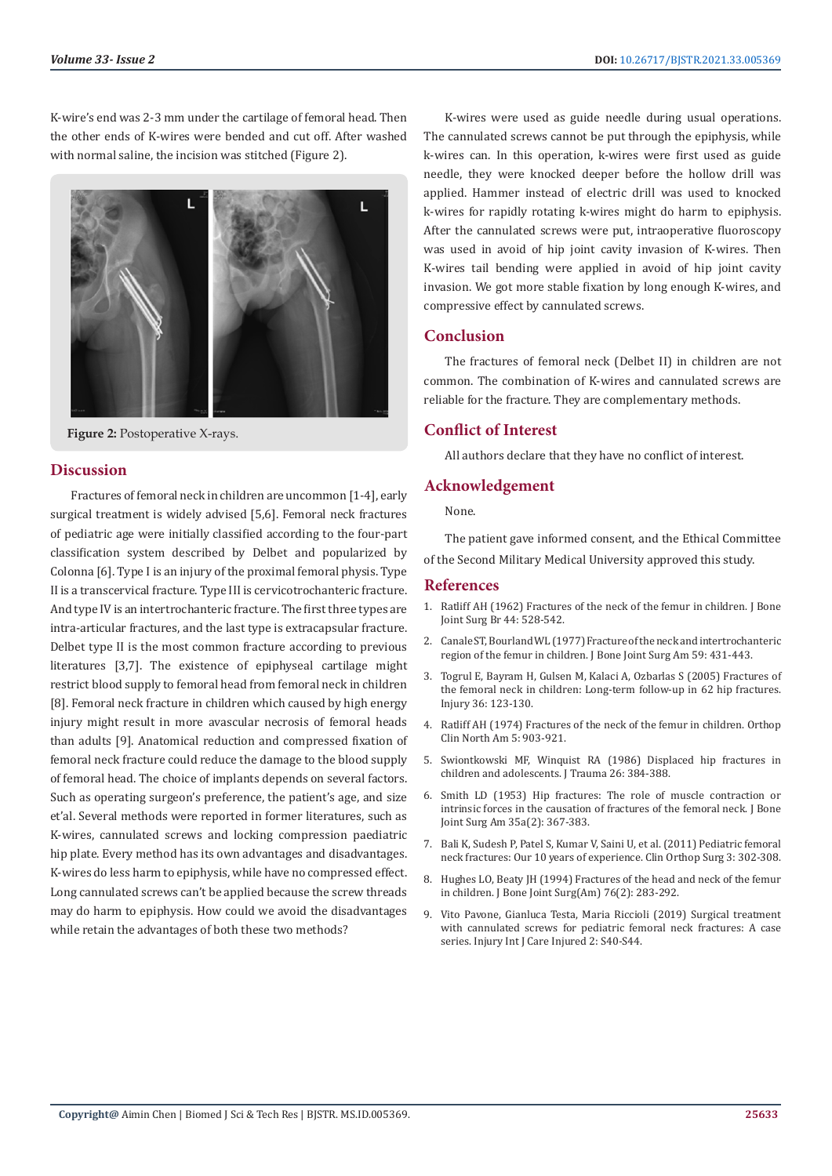K-wire's end was 2-3 mm under the cartilage of femoral head. Then the other ends of K-wires were bended and cut off. After washed with normal saline, the incision was stitched (Figure 2).



**Figure 2:** Postoperative X-rays.

### **Discussion**

Fractures of femoral neck in children are uncommon [1-4], early surgical treatment is widely advised [5,6]. Femoral neck fractures of pediatric age were initially classified according to the four-part classification system described by Delbet and popularized by Colonna [6]. Type I is an injury of the proximal femoral physis. Type II is a transcervical fracture. Type III is cervicotrochanteric fracture. And type IV is an intertrochanteric fracture. The first three types are intra-articular fractures, and the last type is extracapsular fracture. Delbet type II is the most common fracture according to previous literatures [3,7]. The existence of epiphyseal cartilage might restrict blood supply to femoral head from femoral neck in children [8]. Femoral neck fracture in children which caused by high energy injury might result in more avascular necrosis of femoral heads than adults [9]. Anatomical reduction and compressed fixation of femoral neck fracture could reduce the damage to the blood supply of femoral head. The choice of implants depends on several factors. Such as operating surgeon's preference, the patient's age, and size et'al. Several methods were reported in former literatures, such as K-wires, cannulated screws and locking compression paediatric hip plate. Every method has its own advantages and disadvantages. K-wires do less harm to epiphysis, while have no compressed effect. Long cannulated screws can't be applied because the screw threads may do harm to epiphysis. How could we avoid the disadvantages while retain the advantages of both these two methods?

K-wires were used as guide needle during usual operations. The cannulated screws cannot be put through the epiphysis, while k-wires can. In this operation, k-wires were first used as guide needle, they were knocked deeper before the hollow drill was applied. Hammer instead of electric drill was used to knocked k-wires for rapidly rotating k-wires might do harm to epiphysis. After the cannulated screws were put, intraoperative fluoroscopy was used in avoid of hip joint cavity invasion of K-wires. Then K-wires tail bending were applied in avoid of hip joint cavity invasion. We got more stable fixation by long enough K-wires, and compressive effect by cannulated screws.

### **Conclusion**

The fractures of femoral neck (Delbet II) in children are not common. The combination of K-wires and cannulated screws are reliable for the fracture. They are complementary methods.

# **Conflict of Interest**

All authors declare that they have no conflict of interest.

### **Acknowledgement**

None.

The patient gave informed consent, and the Ethical Committee

of the Second Military Medical University approved this study.

#### **References**

- 1. [Ratliff AH \(1962\) Fractures of the neck of the femur in children. J Bone](https://online.boneandjoint.org.uk/doi/abs/10.1302/0301-620X.44B3.528) [Joint Surg Br 44: 528-542.](https://online.boneandjoint.org.uk/doi/abs/10.1302/0301-620X.44B3.528)
- 2. [Canale ST, Bourland WL \(1977\) Fracture of the neck and intertrochanteric](https://pubmed.ncbi.nlm.nih.gov/863935/) [region of the femur in children. J Bone Joint Surg Am 59: 431-443.](https://pubmed.ncbi.nlm.nih.gov/863935/)
- 3. [Togrul E, Bayram H, Gulsen M, Kalaci A, Ozbarlas S \(2005\) Fractures of](https://pubmed.ncbi.nlm.nih.gov/15589930/) [the femoral neck in children: Long-term follow-up in 62 hip fractures.](https://pubmed.ncbi.nlm.nih.gov/15589930/) [Injury 36: 123-130.](https://pubmed.ncbi.nlm.nih.gov/15589930/)
- 4. Ratliff AH (1974) Fractures of the neck of the femur in children. Orthop Clin North Am 5: 903-921.
- 5. [Swiontkowski MF, Winquist RA \(1986\) Displaced hip fractures in](https://pubmed.ncbi.nlm.nih.gov/3959144/) [children and adolescents. J Trauma 26: 384-388.](https://pubmed.ncbi.nlm.nih.gov/3959144/)
- 6. [Smith LD \(1953\) Hip fractures: The role of muscle contraction or](https://pubmed.ncbi.nlm.nih.gov/13052609/) [intrinsic forces in the causation of fractures of the femoral neck. J Bone](https://pubmed.ncbi.nlm.nih.gov/13052609/) [Joint Surg Am 35a\(2\): 367-383.](https://pubmed.ncbi.nlm.nih.gov/13052609/)
- 7. [Bali K, Sudesh P, Patel S, Kumar V, Saini U, et al. \(2011\) Pediatric femoral](https://pubmed.ncbi.nlm.nih.gov/22162793/) [neck fractures: Our 10 years of experience. Clin Orthop Surg 3: 302-308.](https://pubmed.ncbi.nlm.nih.gov/22162793/)
- 8. Hughes LO, Beaty JH (1994) Fractures of the head and neck of the femur in children. J Bone Joint Surg(Am) 76(2): 283-292.
- 9. Vito Pavone, Gianluca Testa, Maria Riccioli (2019) Surgical treatment with cannulated screws for pediatric femoral neck fractures: A case series. Injury Int J Care Injured 2: S40-S44.